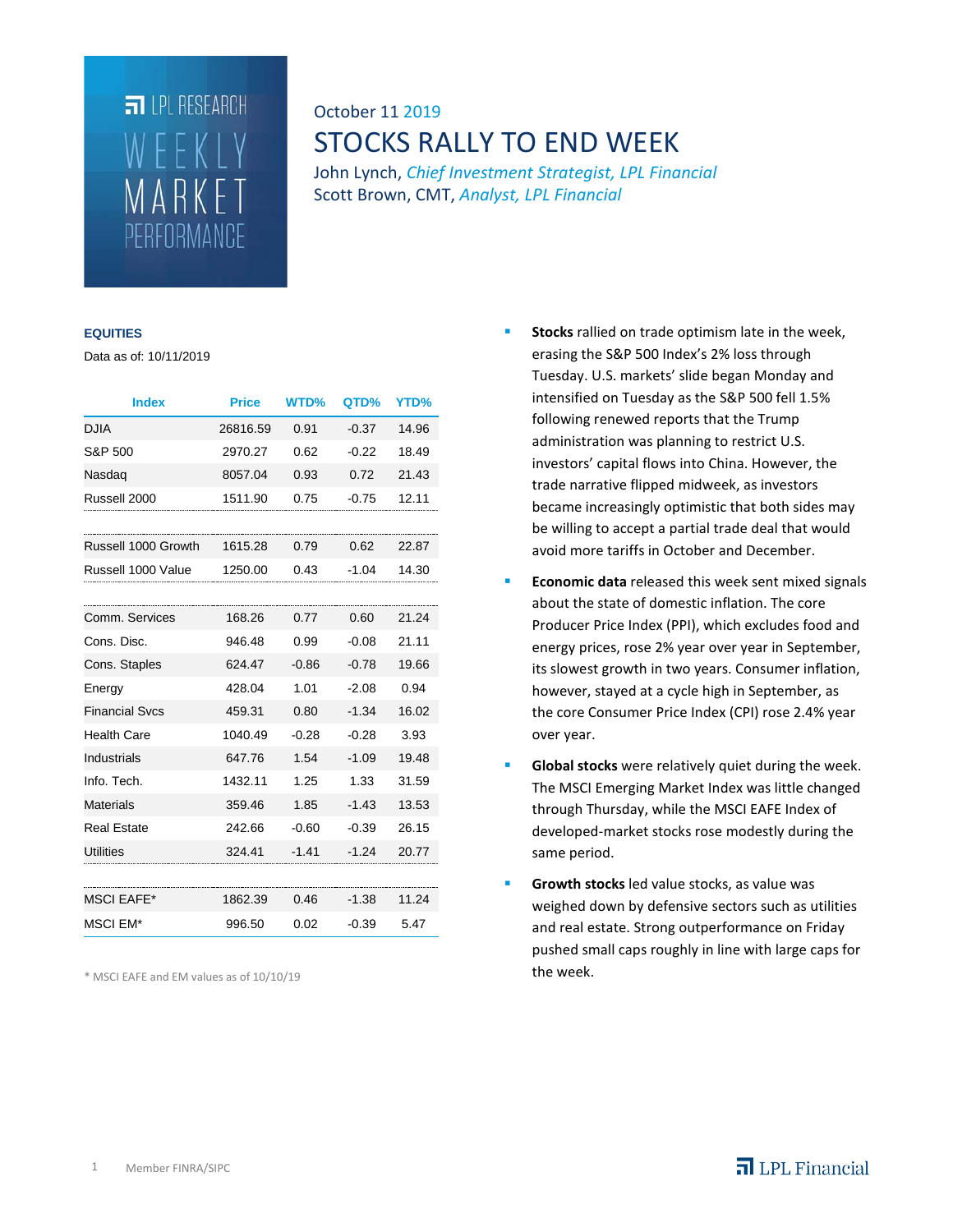# $\Box$  I PL RESEARCH WEEKLY MARKET PERFORMANCE

## October 11 2019 STOCKS RALLY TO END WEEK

John Lynch, *Chief Investment Strategist, LPL Financial* Scott Brown, CMT, *Analyst, LPL Financial*

#### **EQUITIES**

Data as of: 10/11/2019

| <b>Index</b>          | <b>Price</b> | <b>WTD%</b> | QTD%    | YTD%  |
|-----------------------|--------------|-------------|---------|-------|
| <b>DJIA</b>           | 26816.59     | 0.91        | $-0.37$ | 14.96 |
| S&P 500               | 2970.27      | 0.62        | $-0.22$ | 18.49 |
| Nasdaq                | 8057.04      | 0.93        | 0.72    | 21.43 |
| Russell 2000          | 1511.90      | 0.75        | $-0.75$ | 12.11 |
|                       |              |             |         |       |
| Russell 1000 Growth   | 1615.28      | 0.79        | 0.62    | 22.87 |
| Russell 1000 Value    | 1250.00      | 0.43        | $-1.04$ | 14.30 |
|                       |              |             |         |       |
| Comm. Services        | 168.26       | 0.77        | 0.60    | 21.24 |
| Cons. Disc.           | 946.48       | 0.99        | $-0.08$ | 21.11 |
| Cons. Staples         | 624.47       | $-0.86$     | $-0.78$ | 19.66 |
| Energy                | 428.04       | 1.01        | $-2.08$ | 0.94  |
| <b>Financial Svcs</b> | 459.31       | 0.80        | $-1.34$ | 16.02 |
| <b>Health Care</b>    | 1040.49      | $-0.28$     | $-0.28$ | 3.93  |
| <b>Industrials</b>    | 647.76       | 1.54        | $-1.09$ | 19.48 |
| Info. Tech.           | 1432.11      | 1.25        | 1.33    | 31.59 |
| <b>Materials</b>      | 359.46       | 1.85        | $-1.43$ | 13.53 |
| <b>Real Estate</b>    | 242.66       | $-0.60$     | $-0.39$ | 26.15 |
| <b>Utilities</b>      | 324.41       | $-1.41$     | $-1.24$ | 20.77 |
|                       |              |             |         |       |
| <b>MSCI EAFE*</b>     | 1862.39      | 0.46        | $-1.38$ | 11.24 |
| MSCI EM*              | 996.50       | 0.02        | $-0.39$ | 5.47  |

\* MSCI EAFE and EM values as of 10/10/19

- **Stocks** rallied on trade optimism late in the week, erasing the S&P 500 Index's 2% loss through Tuesday. U.S. markets' slide began Monday and intensified on Tuesday as the S&P 500 fell 1.5% following renewed reports that the Trump administration was planning to restrict U.S. investors' capital flows into China. However, the trade narrative flipped midweek, as investors became increasingly optimistic that both sides may be willing to accept a partial trade deal that would avoid more tariffs in October and December.
- **Economic data** released this week sent mixed signals about the state of domestic inflation. The core Producer Price Index (PPI), which excludes food and energy prices, rose 2% year over year in September, its slowest growth in two years. Consumer inflation, however, stayed at a cycle high in September, as the core Consumer Price Index (CPI) rose 2.4% year over year.
- **Global stocks** were relatively quiet during the week. The MSCI Emerging Market Index was little changed through Thursday, while the MSCI EAFE Index of developed-market stocks rose modestly during the same period.
- **Growth stocks** led value stocks, as value was weighed down by defensive sectors such as utilities and real estate. Strong outperformance on Friday pushed small caps roughly in line with large caps for the week.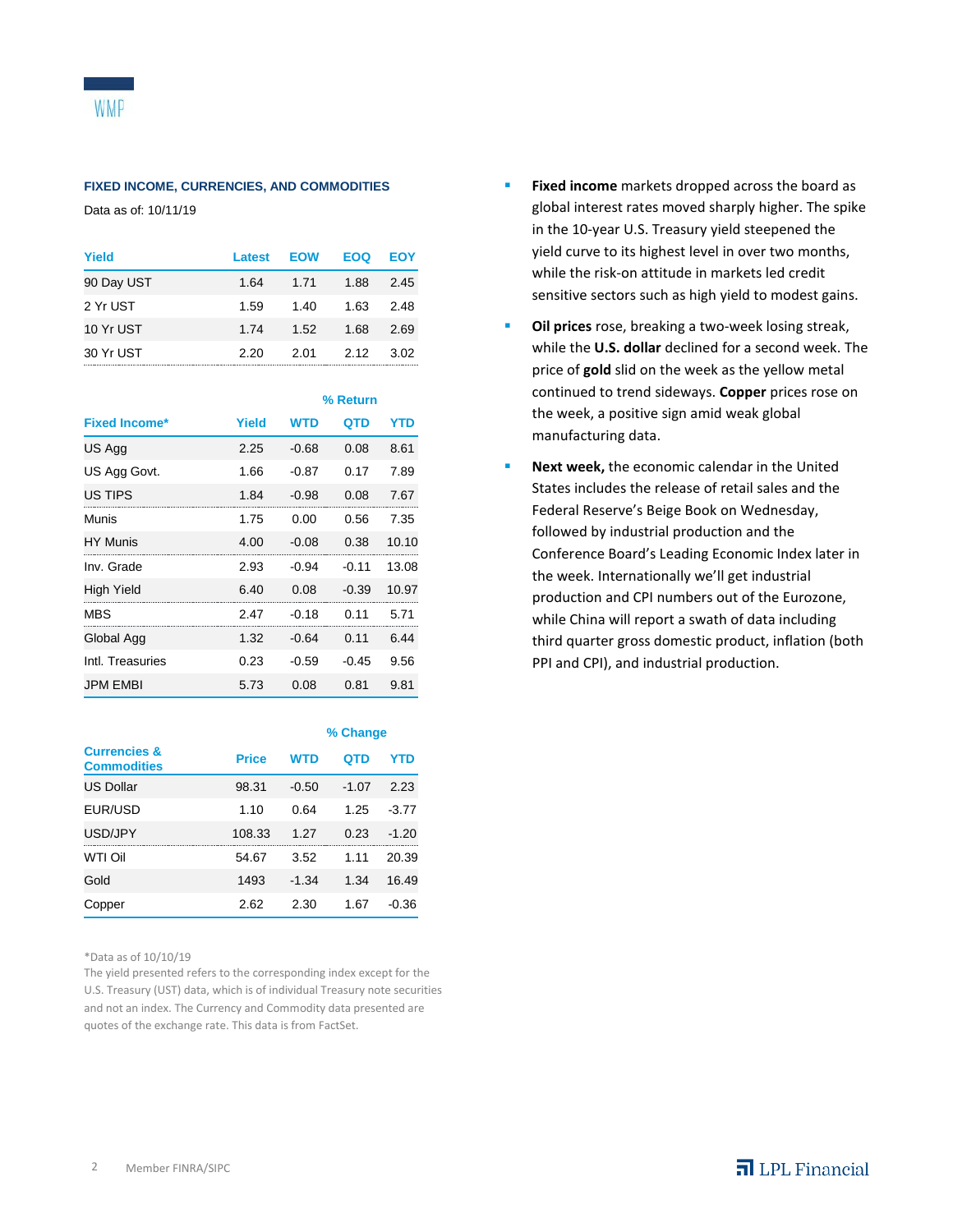#### **FIXED INCOME, CURRENCIES, AND COMMODITIES**

Data as of: 10/11/19

| Yield      | Latest | <b>EOW</b> | <b>EOQ</b> | EOY  |
|------------|--------|------------|------------|------|
| 90 Day UST | 1.64   | 1.71       | 1.88       | 2.45 |
| 2 Yr UST   | 1.59   | 1.40       | 1.63       | 2.48 |
| 10 Yr UST  | 1.74   | 1.52       | 1.68       | 2.69 |
| 30 Yr UST  | 2.20   | 2.01       | 2.12       | 3.02 |

|                      |       | % Return   |         |       |
|----------------------|-------|------------|---------|-------|
| <b>Fixed Income*</b> | Yield | <b>WTD</b> | QTD     | YTD   |
| US Agg               | 2.25  | $-0.68$    | 0.08    | 8.61  |
| US Agg Govt.         | 1.66  | $-0.87$    | 0.17    | 7.89  |
| US TIPS              | 1.84  | $-0.98$    | 0.08    | 7.67  |
| Munis                | 1.75  | 0.00       | 0.56    | 7.35  |
| <b>HY Munis</b>      | 4.00  | $-0.08$    | 0.38    | 10.10 |
| Inv. Grade           | 2.93  | $-0.94$    | $-0.11$ | 13.08 |
| High Yield           | 6.40  | 0.08       | $-0.39$ | 10.97 |
| MBS                  | 2.47  | $-0.18$    | 0.11    | 5.71  |
| Global Agg           | 1.32  | $-0.64$    | 0.11    | 6.44  |
| Intl. Treasuries     | 0.23  | $-0.59$    | $-0.45$ | 9.56  |
| <b>JPM FMBI</b>      | 5.73  | 0.08       | 0.81    | 9.81  |

|                                               |              | % Change   |         |         |
|-----------------------------------------------|--------------|------------|---------|---------|
| <b>Currencies &amp;</b><br><b>Commodities</b> | <b>Price</b> | <b>WTD</b> | QTD     | YTD     |
| <b>US Dollar</b>                              | 98.31        | $-0.50$    | $-1.07$ | 2.23    |
| EUR/USD                                       | 1.10         | 0.64       | 1.25    | $-3.77$ |
| USD/JPY                                       | 108.33       | 1.27       | 0.23    | $-1.20$ |
| WTI Oil                                       | 54.67        | 3.52       | 1.11    | 20.39   |
| Gold                                          | 1493         | $-1.34$    | 1.34    | 16.49   |
| Copper                                        | 2.62         | 2.30       | 1.67    | $-0.36$ |

\*Data as of 10/10/19

The yield presented refers to the corresponding index except for the U.S. Treasury (UST) data, which is of individual Treasury note securities and not an index. The Currency and Commodity data presented are quotes of the exchange rate. This data is from FactSet.

- **Fixed income** markets dropped across the board as global interest rates moved sharply higher. The spike in the 10-year U.S. Treasury yield steepened the yield curve to its highest level in over two months, while the risk-on attitude in markets led credit sensitive sectors such as high yield to modest gains.
- **Cil prices** rose, breaking a two-week losing streak, while the **U.S. dollar** declined for a second week. The price of **gold** slid on the week as the yellow metal continued to trend sideways. **Copper** prices rose on the week, a positive sign amid weak global manufacturing data.
- **Next week,** the economic calendar in the United States includes the release of retail sales and the Federal Reserve's Beige Book on Wednesday, followed by industrial production and the Conference Board's Leading Economic Index later in the week. Internationally we'll get industrial production and CPI numbers out of the Eurozone, while China will report a swath of data including third quarter gross domestic product, inflation (both PPI and CPI), and industrial production.